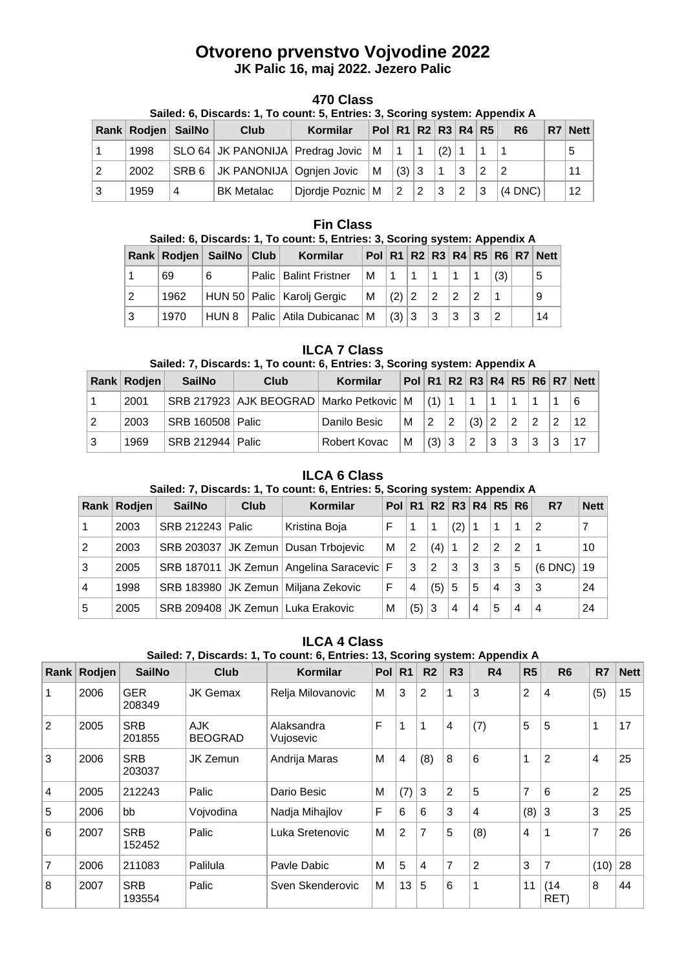# **Otvoreno prvenstvo Vojvodine 2022 JK Palic 16, maj 2022. Jezero Palic**

# **470 Class**

| Sailed: 6, Discards: 1, To count: 5, Entries: 3, Scoring system: Appendix A |  |
|-----------------------------------------------------------------------------|--|
|-----------------------------------------------------------------------------|--|

|                | Rank Rodjen SailNo |   | Club                               | Kormilar           | Pol   R1   R2   R3   R4   R5 |                 |             |                 |   |    | R <sub>6</sub> | R7 Nett |
|----------------|--------------------|---|------------------------------------|--------------------|------------------------------|-----------------|-------------|-----------------|---|----|----------------|---------|
|                | 1998               |   | SLO 64 JK PANONIJA Predrag Jovic M |                    |                              |                 |             | $(2)$ 1         |   |    |                |         |
| $\overline{2}$ | 2002               |   | SRB 6   JK PANONIJA   Ognjen Jovic |                    | $\mathsf{M}$                 | (3)   3         |             |                 | 3 |    |                |         |
| l 3            | 1959               | 4 | <b>BK Metalac</b>                  | Diordie Poznic   M |                              | $\vert 2 \vert$ | $ 2\rangle$ | $\vert 3 \vert$ | 2 | Ι3 | $(4$ DNC)      | 12      |

#### **Fin Class**

|   | Sailed: 6, Discards: 1, To count: 5, Entries: 3, Scoring system: Appendix A |               |  |                                      |                   |       |  |             |   |                 |     |  |                                               |
|---|-----------------------------------------------------------------------------|---------------|--|--------------------------------------|-------------------|-------|--|-------------|---|-----------------|-----|--|-----------------------------------------------|
|   | Rank   Rodien                                                               | SailNo   Club |  | Kormilar                             |                   |       |  |             |   |                 |     |  | Pol   R1   R2   R3   R4   R5   R6   R7   Nett |
|   | 69                                                                          | 6             |  | Palic   Balint Fristner              | M   1   1   1   1 |       |  |             |   | $\vert$ 1       | (3) |  | 5                                             |
| 2 | 1962                                                                        |               |  | HUN 50   Palic   Karolj Gergic       | м                 | (2) 2 |  | $ 2\rangle$ | 2 | $\vert 2 \vert$ |     |  | 9                                             |
| 3 | 1970                                                                        | HUN 8         |  | Palic   Atila Dubicanac   M $ (3) 3$ |                   |       |  | 3           | 3 | l 3             | 2   |  | 14                                            |

### **ILCA 7 Class**

## **Sailed: 7, Discards: 1, To count: 6, Entries: 3, Scoring system: Appendix A**

|   | Rank   Rodjen | SailNo             | Club                                          | Kormilar     |           |         |         |                 |                |                |    | Pol R1 R2 R3 R4 R5 R6 R7 Nett |
|---|---------------|--------------------|-----------------------------------------------|--------------|-----------|---------|---------|-----------------|----------------|----------------|----|-------------------------------|
|   | 2001          |                    | SRB 217923 AJK BEOGRAD Marko Petkovic M (1) 1 |              |           |         |         |                 |                |                |    | 6                             |
|   | 2003          | SRB 160508   Palic |                                               | Danilo Besic | M   2   2 |         | (3)   2 |                 | $\overline{2}$ | $\overline{2}$ | -2 | 12                            |
| 3 | 1969          | SRB 212944   Palic |                                               | Robert Kovac | м         | (3) 3 2 |         | $\vert 3 \vert$ | 3              | l 3            | ⊺3 | .17                           |

# **ILCA 6 Class**

### **Sailed: 7, Discards: 1, To count: 6, Entries: 5, Scoring system: Appendix A**

| Rank l         | Rodjen | <b>SailNo</b>         | Club | Kormilar                                     | Pol R1 R2 R3 R4 R5 R6 |     |     |     |                |   |   | R7           | <b>Nett</b> |
|----------------|--------|-----------------------|------|----------------------------------------------|-----------------------|-----|-----|-----|----------------|---|---|--------------|-------------|
| $\overline{1}$ | 2003   | SRB 212243   Palic    |      | Kristina Boja                                | F                     | 1   | 1   | (2) |                | 1 | 1 | $\cdot$ 2    |             |
| $\overline{2}$ | 2003   | SRB 203037   JK Zemun |      | Dusan Trbojevic                              | м                     | 2   | (4) |     | 2              | 2 | 2 |              | 10          |
| 3              | 2005   |                       |      | SRB 187011 JK Zemun   Angelina Saracevic   F |                       | 3   | 2   | 3   | 3              | 3 | 5 | $(6$ DNC $)$ | 19          |
| $\overline{4}$ | 1998   |                       |      | SRB 183980 JK Zemun   Miljana Zekovic        | F                     | 4   | (5) | 5   | 5              | 4 | 3 | 3            | 24          |
| 5              | 2005   |                       |      | SRB 209408 JK Zemun   Luka Erakovic          | М                     | (5) | 3   | 4   | $\overline{4}$ | 5 | 4 | 4            | 24          |

# **ILCA 4 Class**

# **Sailed: 7, Discards: 1, To count: 6, Entries: 13, Scoring system: Appendix A**

| Rank | Rodjen | <b>SailNo</b>        | Club                   | Kormilar                | <b>Pol</b> | R <sub>1</sub> | R <sub>2</sub> | R <sub>3</sub> | R <sub>4</sub> | R <sub>5</sub> | R <sub>6</sub> | R7             | <b>Nett</b> |
|------|--------|----------------------|------------------------|-------------------------|------------|----------------|----------------|----------------|----------------|----------------|----------------|----------------|-------------|
|      | 2006   | <b>GER</b><br>208349 | <b>JK Gemax</b>        | Relja Milovanovic       | M          | 3              | $\overline{2}$ | 1              | 3              | $\overline{c}$ | $\overline{4}$ | (5)            | 15          |
| 2    | 2005   | <b>SRB</b><br>201855 | AJK.<br><b>BEOGRAD</b> | Alaksandra<br>Vujosevic | F          | 1              | 1              | 4              | (7)            | 5              | 5              | 1              | 17          |
| 3    | 2006   | <b>SRB</b><br>203037 | <b>JK Zemun</b>        | Andrija Maras           | M          | 4              | (8)            | 8              | 6              | 1              | 2              | 4              | 25          |
| 4    | 2005   | 212243               | Palic                  | Dario Besic             | M          | (7)            | 3              | $\overline{2}$ | 5              | 7              | 6              | $\overline{2}$ | 25          |
| 5    | 2006   | bb                   | Vojvodina              | Nadja Mihajlov          | F          | 6              | 6              | 3              | $\overline{4}$ | (8)            | 3              | 3              | 25          |
| 6    | 2007   | <b>SRB</b><br>152452 | Palic                  | Luka Sretenovic         | M          | $\overline{2}$ | $\overline{7}$ | 5              | (8)            | 4              | 1              | $\overline{7}$ | 26          |
| 7    | 2006   | 211083               | Palilula               | Pavle Dabic             | M          | 5              | 4              | 7              | 2              | 3              | $\overline{7}$ | (10)           | 28          |
| 8    | 2007   | <b>SRB</b><br>193554 | Palic                  | Sven Skenderovic        | M          | 13             | 5              | 6              | 1              | 11             | (14)<br>RET)   | 8              | 44          |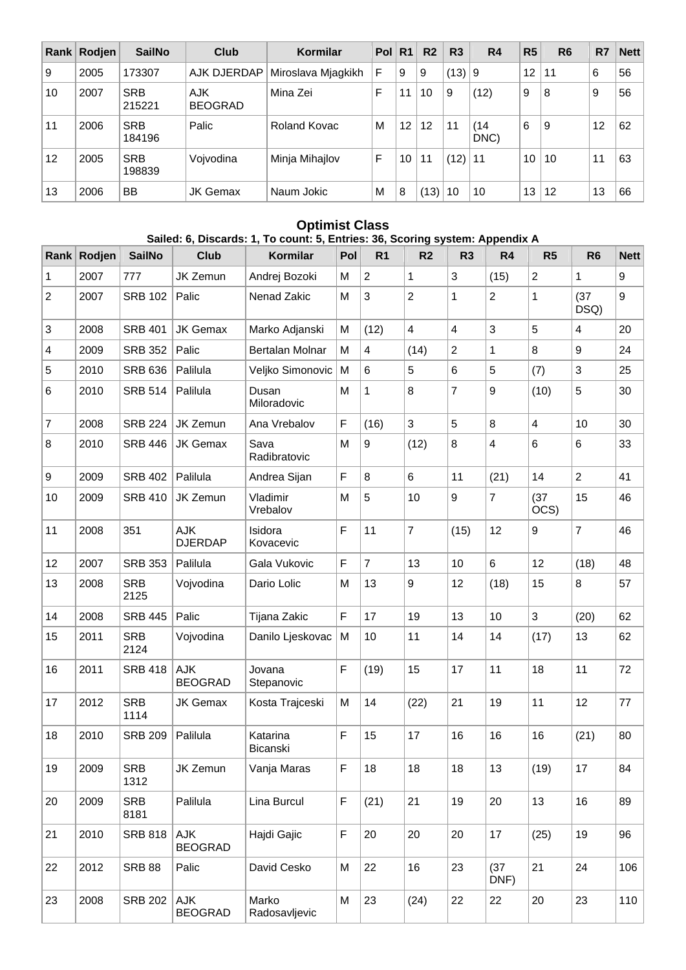| Rank | Rodjen | <b>SailNo</b>        | Club                         | Kormilar           | Pol | R <sub>1</sub> | R <sub>2</sub> | R <sub>3</sub> | R4           | R <sub>5</sub> | R <sub>6</sub> | R7 | <b>Nett</b> |
|------|--------|----------------------|------------------------------|--------------------|-----|----------------|----------------|----------------|--------------|----------------|----------------|----|-------------|
| 9    | 2005   | 173307               | AJK DJERDAP                  | Miroslava Mjagkikh | F   | 9              | 9              | (13)           | 9            | 12             | 11             | 6  | 56          |
| 10   | 2007   | <b>SRB</b><br>215221 | <b>AJK</b><br><b>BEOGRAD</b> | Mina Zei           | F   | 11             | 10             | 9              | (12)         | 9              | 8              | 9  | 56          |
| 11   | 2006   | <b>SRB</b><br>184196 | Palic                        | Roland Kovac       | M   | 12             | 12             | 11             | (14)<br>DNC) | 6              | 9              | 12 | 62          |
| 12   | 2005   | <b>SRB</b><br>198839 | Vojvodina                    | Minja Mihajlov     | F   | 10             | 11             | (12)           | 11           | 10             | 10             | 11 | 63          |
| 13   | 2006   | BB                   | JK Gemax                     | Naum Jokic         | M   | 8              | (13)           | 10             | 10           | 13             | 12             | 13 | 66          |

### **Optimist Class Sailed: 6, Discards: 1, To count: 5, Entries: 36, Scoring system: Appendix A**

| Rank             | Rodjen | <b>SailNo</b>      | <b>Club</b>           | Kormilar               | Pol | R <sub>1</sub> | R <sub>2</sub>   | R <sub>3</sub>          | R4                      | R <sub>5</sub>          | R <sub>6</sub>   | <b>Nett</b> |
|------------------|--------|--------------------|-----------------------|------------------------|-----|----------------|------------------|-------------------------|-------------------------|-------------------------|------------------|-------------|
| $\mathbf 1$      | 2007   | 777                | JK Zemun              | Andrej Bozoki          | M   | $\overline{2}$ | 1                | 3                       | (15)                    | $\overline{c}$          | 1                | 9           |
| $\overline{c}$   | 2007   | <b>SRB 102</b>     | Palic                 | Nenad Zakic            | M   | 3              | $\overline{2}$   | $\mathbf 1$             | $\overline{c}$          | 1                       | (37)<br>DSQ)     | 9           |
| $\sqrt{3}$       | 2008   | <b>SRB 401</b>     | <b>JK Gemax</b>       | Marko Adjanski         | M   | (12)           | $\overline{4}$   | $\overline{\mathbf{4}}$ | 3                       | 5                       | 4                | 20          |
| 4                | 2009   | <b>SRB 352</b>     | Palic                 | Bertalan Molnar        | M   | 4              | (14)             | $\overline{2}$          | 1                       | 8                       | $\boldsymbol{9}$ | 24          |
| 5                | 2010   | <b>SRB 636</b>     | Palilula              | Veljko Simonovic       | M   | 6              | 5                | 6                       | 5                       | (7)                     | 3                | 25          |
| 6                | 2010   | <b>SRB 514</b>     | Palilula              | Dusan<br>Miloradovic   | M   | 1              | 8                | $\overline{7}$          | 9                       | (10)                    | 5                | 30          |
| $\overline{7}$   | 2008   | <b>SRB 224</b>     | JK Zemun              | Ana Vrebalov           | F   | (16)           | 3                | 5                       | 8                       | $\overline{\mathbf{4}}$ | 10               | 30          |
| 8                | 2010   | <b>SRB 446</b>     | JK Gemax              | Sava<br>Radibratovic   | M   | 9              | (12)             | 8                       | $\overline{\mathbf{4}}$ | 6                       | 6                | 33          |
| $\boldsymbol{9}$ | 2009   | <b>SRB 402</b>     | Palilula              | Andrea Sijan           | F   | 8              | 6                | 11                      | (21)                    | 14                      | $\overline{2}$   | 41          |
| 10               | 2009   | <b>SRB 410</b>     | JK Zemun              | Vladimir<br>Vrebalov   | M   | 5              | 10               | 9                       | $\overline{7}$          | (37)<br>OCS)            | 15               | 46          |
| 11               | 2008   | 351                | AJK<br><b>DJERDAP</b> | Isidora<br>Kovacevic   | F   | 11             | $\overline{7}$   | (15)                    | 12                      | 9                       | $\overline{7}$   | 46          |
| 12               | 2007   | <b>SRB 353</b>     | Palilula              | Gala Vukovic           | F   | $\overline{7}$ | 13               | 10                      | 6                       | 12                      | (18)             | 48          |
| 13               | 2008   | <b>SRB</b><br>2125 | Vojvodina             | Dario Lolic            | M   | 13             | $\boldsymbol{9}$ | 12                      | (18)                    | 15                      | 8                | 57          |
| 14               | 2008   | <b>SRB 445</b>     | Palic                 | Tijana Zakic           | F   | 17             | 19               | 13                      | 10                      | 3                       | (20)             | 62          |
| 15               | 2011   | <b>SRB</b><br>2124 | Vojvodina             | Danilo Ljeskovac       | M   | 10             | 11               | 14                      | 14                      | (17)                    | 13               | 62          |
| 16               | 2011   | <b>SRB 418</b>     | AJK<br><b>BEOGRAD</b> | Jovana<br>Stepanovic   | F   | (19)           | 15               | 17                      | 11                      | 18                      | 11               | 72          |
| 17               | 2012   | <b>SRB</b><br>1114 | <b>JK Gemax</b>       | Kosta Trajceski        | M   | 14             | (22)             | 21                      | 19                      | 11                      | 12               | 77          |
| 18               | 2010   | <b>SRB 209</b>     | Palilula              | Katarina<br>Bicanski   | F   | 15             | 17               | 16                      | 16                      | 16                      | (21)             | 80          |
| 19               | 2009   | <b>SRB</b><br>1312 | JK Zemun              | Vanja Maras            | F   | 18             | 18               | 18                      | 13                      | (19)                    | 17               | 84          |
| 20               | 2009   | <b>SRB</b><br>8181 | Palilula              | Lina Burcul            | F   | (21)           | 21               | 19                      | 20                      | 13                      | 16               | 89          |
| 21               | 2010   | <b>SRB 818</b>     | AJK<br><b>BEOGRAD</b> | Hajdi Gajic            | F   | 20             | 20               | 20                      | 17                      | (25)                    | 19               | 96          |
| 22               | 2012   | <b>SRB 88</b>      | Palic                 | David Cesko            | M   | 22             | 16               | 23                      | (37)<br>DNF)            | 21                      | 24               | 106         |
| 23               | 2008   | <b>SRB 202</b>     | AJK<br><b>BEOGRAD</b> | Marko<br>Radosavljevic | M   | 23             | (24)             | 22                      | 22                      | 20                      | 23               | 110         |